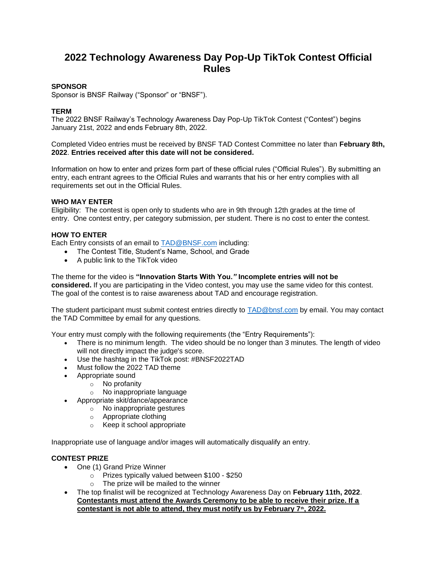# **2022 Technology Awareness Day Pop-Up TikTok Contest Official Rules**

## **SPONSOR**

Sponsor is BNSF Railway ("Sponsor" or "BNSF").

# **TERM**

The 2022 BNSF Railway's Technology Awareness Day Pop-Up TikTok Contest ("Contest") begins January 21st, 2022 and ends February 8th, 2022.

Completed Video entries must be received by BNSF TAD Contest Committee no later than **February 8th, 2022**. **Entries received after this date will not be considered.**

Information on how to enter and prizes form part of these official rules ("Official Rules"). By submitting an entry, each entrant agrees to the Official Rules and warrants that his or her entry complies with all requirements set out in the Official Rules.

## **WHO MAY ENTER**

Eligibility: The contest is open only to students who are in 9th through 12th grades at the time of entry. One contest entry, per category submission, per student. There is no cost to enter the contest.

## **HOW TO ENTER**

Each Entry consists of an email to **TAD@BNSF.com** including:

- The Contest Title, Student's Name, School, and Grade
- A public link to the TikTok video

The theme for the video is **"Innovation Starts With You.***"* **Incomplete entries will not be considered.** If you are participating in the Video contest, you may use the same video for this contest. The goal of the contest is to raise awareness about TAD and encourage registration.

The student participant must submit contest entries directly to **TAD@bnsf.com** by email. You may contact the TAD Committee by email for any questions.

Your entry must comply with the following requirements (the "Entry Requirements"):

- There is no minimum length. The video should be no longer than 3 minutes. The length of video will not directly impact the judge's score.
- Use the hashtag in the TikTok post: #BNSF2022TAD
- Must follow the 2022 TAD theme
- Appropriate sound
	- o No profanity
		- o No inappropriate language
- Appropriate skit/dance/appearance
	- o No inappropriate gestures
		- o Appropriate clothing
		- o Keep it school appropriate

Inappropriate use of language and/or images will automatically disqualify an entry.

# **CONTEST PRIZE**

- One (1) Grand Prize Winner
	- o Prizes typically valued between \$100 \$250
	- o The prize will be mailed to the winner
- The top finalist will be recognized at Technology Awareness Day on **February 11th, 2022**. **Contestants must attend the Awards Ceremony to be able to receive their prize. If a contestant is not able to attend, they must notify us by February 7th, 2022.**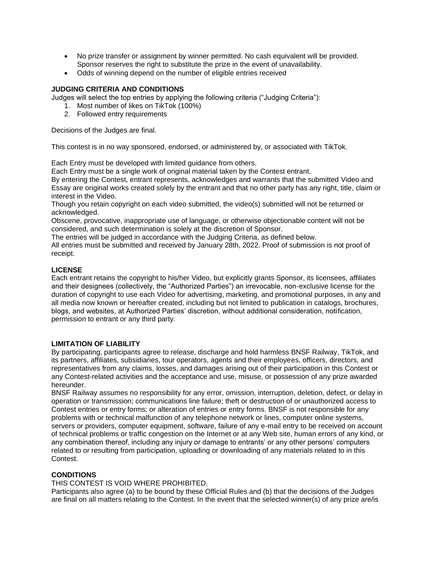- No prize transfer or assignment by winner permitted. No cash equivalent will be provided. Sponsor reserves the right to substitute the prize in the event of unavailability.
- Odds of winning depend on the number of eligible entries received

## **JUDGING CRITERIA AND CONDITIONS**

Judges will select the top entries by applying the following criteria ("Judging Criteria"):

- 1. Most number of likes on TikTok (100%)
- 2. Followed entry requirements

Decisions of the Judges are final.

This contest is in no way sponsored, endorsed, or administered by, or associated with TikTok.

Each Entry must be developed with limited guidance from others.

Each Entry must be a single work of original material taken by the Contest entrant.

By entering the Contest, entrant represents, acknowledges and warrants that the submitted Video and Essay are original works created solely by the entrant and that no other party has any right, title, claim or interest in the Video.

Though you retain copyright on each video submitted, the video(s) submitted will not be returned or acknowledged.

Obscene, provocative, inappropriate use of language, or otherwise objectionable content will not be considered, and such determination is solely at the discretion of Sponsor.

The entries will be judged in accordance with the Judging Criteria, as defined below.

All entries must be submitted and received by January 28th, 2022. Proof of submission is not proof of receipt.

## **LICENSE**

Each entrant retains the copyright to his/her Video, but explicitly grants Sponsor, its licensees, affiliates and their designees (collectively, the "Authorized Parties") an irrevocable, non-exclusive license for the duration of copyright to use each Video for advertising, marketing, and promotional purposes, in any and all media now known or hereafter created, including but not limited to publication in catalogs, brochures, blogs, and websites, at Authorized Parties' discretion, without additional consideration, notification, permission to entrant or any third party.

## **LIMITATION OF LIABILITY**

By participating, participants agree to release, discharge and hold harmless BNSF Railway, TikTok, and its partners, affiliates, subsidiaries, tour operators, agents and their employees, officers, directors, and representatives from any claims, losses, and damages arising out of their participation in this Contest or any Contest-related activities and the acceptance and use, misuse, or possession of any prize awarded hereunder.

BNSF Railway assumes no responsibility for any error, omission, interruption, deletion, defect, or delay in operation or transmission; communications line failure; theft or destruction of or unauthorized access to Contest entries or entry forms; or alteration of entries or entry forms. BNSF is not responsible for any problems with or technical malfunction of any telephone network or lines, computer online systems, servers or providers, computer equipment, software, failure of any e-mail entry to be received on account of technical problems or traffic congestion on the Internet or at any Web site, human errors of any kind, or any combination thereof, including any injury or damage to entrants' or any other persons' computers related to or resulting from participation, uploading or downloading of any materials related to in this Contest.

## **CONDITIONS**

## THIS CONTEST IS VOID WHERE PROHIBITED.

Participants also agree (a) to be bound by these Official Rules and (b) that the decisions of the Judges are final on all matters relating to the Contest. In the event that the selected winner(s) of any prize are/is